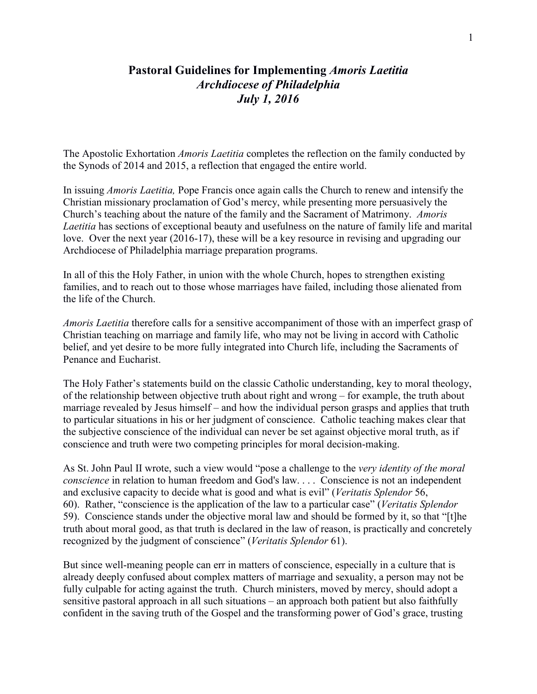# **Pastoral Guidelines for Implementing** *Amoris Laetitia Archdiocese of Philadelphia July 1, 2016*

The Apostolic Exhortation *Amoris Laetitia* completes the reflection on the family conducted by the Synods of 2014 and 2015, a reflection that engaged the entire world.

In issuing *Amoris Laetitia,* Pope Francis once again calls the Church to renew and intensify the Christian missionary proclamation of God's mercy, while presenting more persuasively the Church's teaching about the nature of the family and the Sacrament of Matrimony. *Amoris Laetitia* has sections of exceptional beauty and usefulness on the nature of family life and marital love. Over the next year (2016-17), these will be a key resource in revising and upgrading our Archdiocese of Philadelphia marriage preparation programs.

In all of this the Holy Father, in union with the whole Church, hopes to strengthen existing families, and to reach out to those whose marriages have failed, including those alienated from the life of the Church.

*Amoris Laetitia* therefore calls for a sensitive accompaniment of those with an imperfect grasp of Christian teaching on marriage and family life, who may not be living in accord with Catholic belief, and yet desire to be more fully integrated into Church life, including the Sacraments of Penance and Eucharist.

The Holy Father's statements build on the classic Catholic understanding, key to moral theology, of the relationship between objective truth about right and wrong – for example, the truth about marriage revealed by Jesus himself – and how the individual person grasps and applies that truth to particular situations in his or her judgment of conscience. Catholic teaching makes clear that the subjective conscience of the individual can never be set against objective moral truth, as if conscience and truth were two competing principles for moral decision-making.

As St. John Paul II wrote, such a view would "pose a challenge to the *very identity of the moral conscience* in relation to human freedom and God's law. . . . Conscience is not an independent and exclusive capacity to decide what is good and what is evil" (*Veritatis Splendor* 56, 60). Rather, "conscience is the application of the law to a particular case" (*Veritatis Splendor* 59). Conscience stands under the objective moral law and should be formed by it, so that "[t]he truth about moral good, as that truth is declared in the law of reason, is practically and concretely recognized by the judgment of conscience" (*Veritatis Splendor* 61).

But since well-meaning people can err in matters of conscience, especially in a culture that is already deeply confused about complex matters of marriage and sexuality, a person may not be fully culpable for acting against the truth. Church ministers, moved by mercy, should adopt a sensitive pastoral approach in all such situations – an approach both patient but also faithfully confident in the saving truth of the Gospel and the transforming power of God's grace, trusting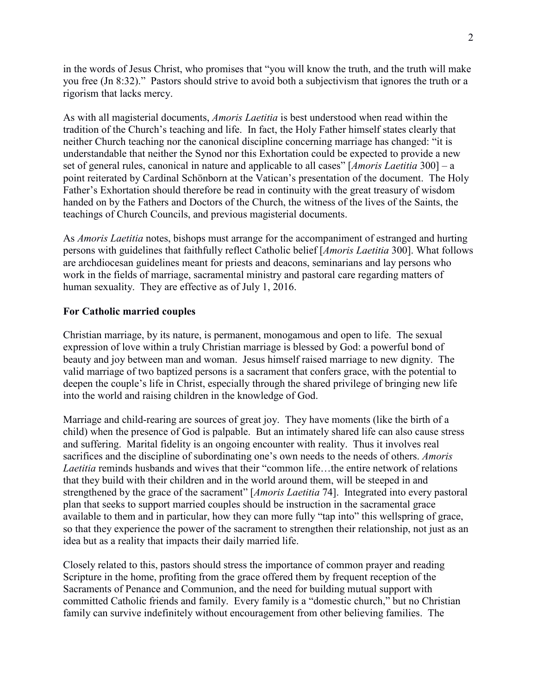in the words of Jesus Christ, who promises that "you will know the truth, and the truth will make you free (Jn 8:32)." Pastors should strive to avoid both a subjectivism that ignores the truth or a rigorism that lacks mercy.

As with all magisterial documents, *Amoris Laetitia* is best understood when read within the tradition of the Church's teaching and life. In fact, the Holy Father himself states clearly that neither Church teaching nor the canonical discipline concerning marriage has changed: "it is understandable that neither the Synod nor this Exhortation could be expected to provide a new set of general rules, canonical in nature and applicable to all cases" [*Amoris Laetitia* 300] – a point reiterated by Cardinal Schönborn at the Vatican's presentation of the document. The Holy Father's Exhortation should therefore be read in continuity with the great treasury of wisdom handed on by the Fathers and Doctors of the Church, the witness of the lives of the Saints, the teachings of Church Councils, and previous magisterial documents.

As *Amoris Laetitia* notes, bishops must arrange for the accompaniment of estranged and hurting persons with guidelines that faithfully reflect Catholic belief [*Amoris Laetitia* 300]. What follows are archdiocesan guidelines meant for priests and deacons, seminarians and lay persons who work in the fields of marriage, sacramental ministry and pastoral care regarding matters of human sexuality. They are effective as of July 1, 2016.

### **For Catholic married couples**

Christian marriage, by its nature, is permanent, monogamous and open to life. The sexual expression of love within a truly Christian marriage is blessed by God: a powerful bond of beauty and joy between man and woman. Jesus himself raised marriage to new dignity. The valid marriage of two baptized persons is a sacrament that confers grace, with the potential to deepen the couple's life in Christ, especially through the shared privilege of bringing new life into the world and raising children in the knowledge of God.

Marriage and child-rearing are sources of great joy. They have moments (like the birth of a child) when the presence of God is palpable. But an intimately shared life can also cause stress and suffering. Marital fidelity is an ongoing encounter with reality. Thus it involves real sacrifices and the discipline of subordinating one's own needs to the needs of others. *Amoris*  Laetitia reminds husbands and wives that their "common life...the entire network of relations" that they build with their children and in the world around them, will be steeped in and strengthened by the grace of the sacrament" [*Amoris Laetitia* 74]. Integrated into every pastoral plan that seeks to support married couples should be instruction in the sacramental grace available to them and in particular, how they can more fully "tap into" this wellspring of grace, so that they experience the power of the sacrament to strengthen their relationship, not just as an idea but as a reality that impacts their daily married life.

Closely related to this, pastors should stress the importance of common prayer and reading Scripture in the home, profiting from the grace offered them by frequent reception of the Sacraments of Penance and Communion, and the need for building mutual support with committed Catholic friends and family. Every family is a "domestic church," but no Christian family can survive indefinitely without encouragement from other believing families. The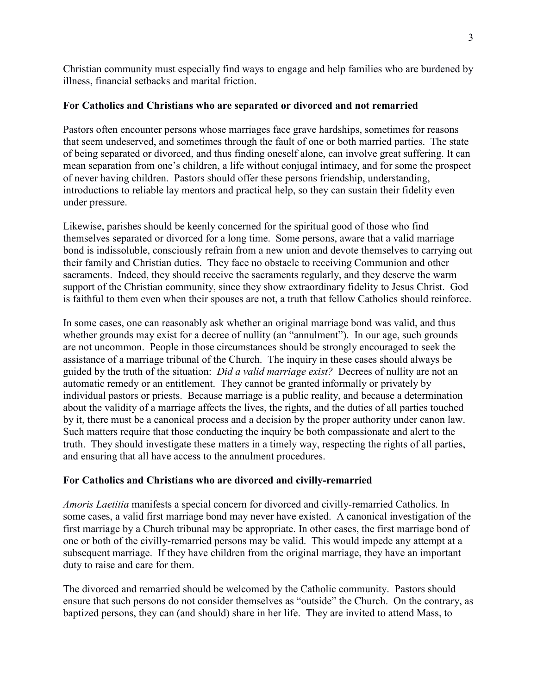Christian community must especially find ways to engage and help families who are burdened by illness, financial setbacks and marital friction.

## **For Catholics and Christians who are separated or divorced and not remarried**

Pastors often encounter persons whose marriages face grave hardships, sometimes for reasons that seem undeserved, and sometimes through the fault of one or both married parties. The state of being separated or divorced, and thus finding oneself alone, can involve great suffering. It can mean separation from one's children, a life without conjugal intimacy, and for some the prospect of never having children. Pastors should offer these persons friendship, understanding, introductions to reliable lay mentors and practical help, so they can sustain their fidelity even under pressure.

Likewise, parishes should be keenly concerned for the spiritual good of those who find themselves separated or divorced for a long time. Some persons, aware that a valid marriage bond is indissoluble, consciously refrain from a new union and devote themselves to carrying out their family and Christian duties. They face no obstacle to receiving Communion and other sacraments. Indeed, they should receive the sacraments regularly, and they deserve the warm support of the Christian community, since they show extraordinary fidelity to Jesus Christ. God is faithful to them even when their spouses are not, a truth that fellow Catholics should reinforce.

In some cases, one can reasonably ask whether an original marriage bond was valid, and thus whether grounds may exist for a decree of nullity (an "annulment"). In our age, such grounds are not uncommon. People in those circumstances should be strongly encouraged to seek the assistance of a marriage tribunal of the Church. The inquiry in these cases should always be guided by the truth of the situation: *Did a valid marriage exist?* Decrees of nullity are not an automatic remedy or an entitlement. They cannot be granted informally or privately by individual pastors or priests. Because marriage is a public reality, and because a determination about the validity of a marriage affects the lives, the rights, and the duties of all parties touched by it, there must be a canonical process and a decision by the proper authority under canon law. Such matters require that those conducting the inquiry be both compassionate and alert to the truth. They should investigate these matters in a timely way, respecting the rights of all parties, and ensuring that all have access to the annulment procedures.

# **For Catholics and Christians who are divorced and civilly-remarried**

*Amoris Laetitia* manifests a special concern for divorced and civilly-remarried Catholics. In some cases, a valid first marriage bond may never have existed. A canonical investigation of the first marriage by a Church tribunal may be appropriate. In other cases, the first marriage bond of one or both of the civilly-remarried persons may be valid. This would impede any attempt at a subsequent marriage. If they have children from the original marriage, they have an important duty to raise and care for them.

The divorced and remarried should be welcomed by the Catholic community. Pastors should ensure that such persons do not consider themselves as "outside" the Church. On the contrary, as baptized persons, they can (and should) share in her life. They are invited to attend Mass, to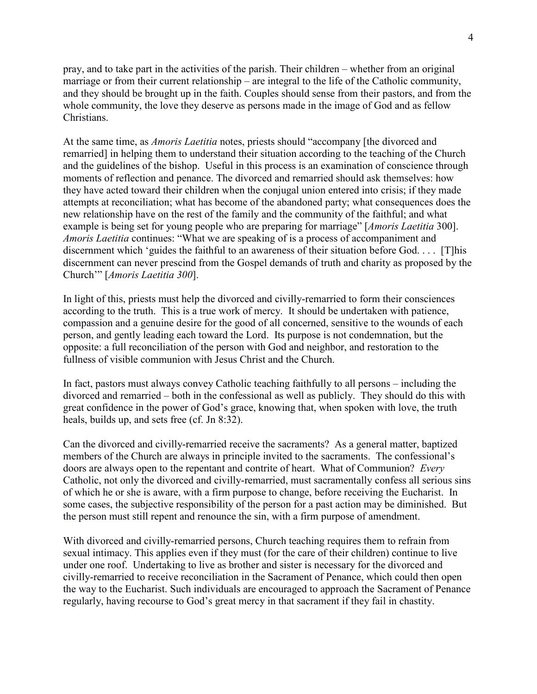pray, and to take part in the activities of the parish. Their children – whether from an original marriage or from their current relationship – are integral to the life of the Catholic community, and they should be brought up in the faith. Couples should sense from their pastors, and from the whole community, the love they deserve as persons made in the image of God and as fellow Christians.

At the same time, as *Amoris Laetitia* notes, priests should "accompany [the divorced and remarried] in helping them to understand their situation according to the teaching of the Church and the guidelines of the bishop. Useful in this process is an examination of conscience through moments of reflection and penance. The divorced and remarried should ask themselves: how they have acted toward their children when the conjugal union entered into crisis; if they made attempts at reconciliation; what has become of the abandoned party; what consequences does the new relationship have on the rest of the family and the community of the faithful; and what example is being set for young people who are preparing for marriage" [*Amoris Laetitia* 300]. *Amoris Laetitia* continues: "What we are speaking of is a process of accompaniment and discernment which 'guides the faithful to an awareness of their situation before God. . . . [T]his discernment can never prescind from the Gospel demands of truth and charity as proposed by the Church'" [*Amoris Laetitia 300*].

In light of this, priests must help the divorced and civilly-remarried to form their consciences according to the truth. This is a true work of mercy. It should be undertaken with patience, compassion and a genuine desire for the good of all concerned, sensitive to the wounds of each person, and gently leading each toward the Lord. Its purpose is not condemnation, but the opposite: a full reconciliation of the person with God and neighbor, and restoration to the fullness of visible communion with Jesus Christ and the Church.

In fact, pastors must always convey Catholic teaching faithfully to all persons – including the divorced and remarried – both in the confessional as well as publicly. They should do this with great confidence in the power of God's grace, knowing that, when spoken with love, the truth heals, builds up, and sets free (cf. Jn 8:32).

Can the divorced and civilly-remarried receive the sacraments? As a general matter, baptized members of the Church are always in principle invited to the sacraments. The confessional's doors are always open to the repentant and contrite of heart. What of Communion? *Every*  Catholic, not only the divorced and civilly-remarried, must sacramentally confess all serious sins of which he or she is aware, with a firm purpose to change, before receiving the Eucharist. In some cases, the subjective responsibility of the person for a past action may be diminished. But the person must still repent and renounce the sin, with a firm purpose of amendment.

With divorced and civilly-remarried persons, Church teaching requires them to refrain from sexual intimacy. This applies even if they must (for the care of their children) continue to live under one roof. Undertaking to live as brother and sister is necessary for the divorced and civilly-remarried to receive reconciliation in the Sacrament of Penance, which could then open the way to the Eucharist. Such individuals are encouraged to approach the Sacrament of Penance regularly, having recourse to God's great mercy in that sacrament if they fail in chastity.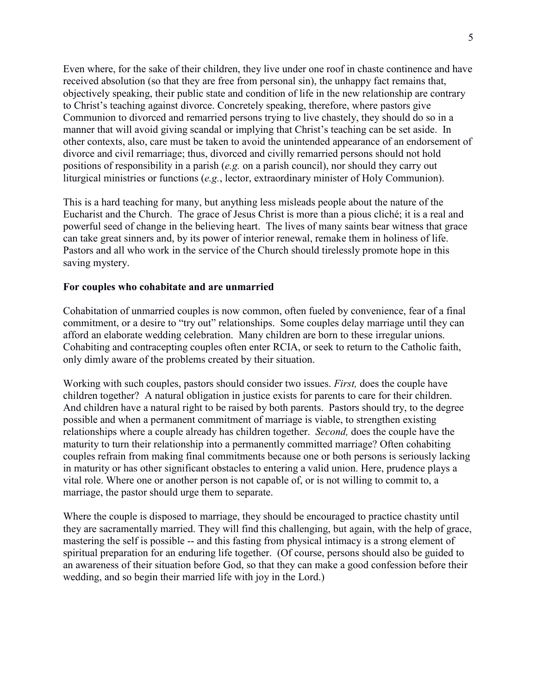Even where, for the sake of their children, they live under one roof in chaste continence and have received absolution (so that they are free from personal sin), the unhappy fact remains that, objectively speaking, their public state and condition of life in the new relationship are contrary to Christ's teaching against divorce. Concretely speaking, therefore, where pastors give Communion to divorced and remarried persons trying to live chastely, they should do so in a manner that will avoid giving scandal or implying that Christ's teaching can be set aside. In other contexts, also, care must be taken to avoid the unintended appearance of an endorsement of divorce and civil remarriage; thus, divorced and civilly remarried persons should not hold positions of responsibility in a parish (*e.g.* on a parish council), nor should they carry out liturgical ministries or functions (*e.g.*, lector, extraordinary minister of Holy Communion).

This is a hard teaching for many, but anything less misleads people about the nature of the Eucharist and the Church. The grace of Jesus Christ is more than a pious cliché; it is a real and powerful seed of change in the believing heart. The lives of many saints bear witness that grace can take great sinners and, by its power of interior renewal, remake them in holiness of life. Pastors and all who work in the service of the Church should tirelessly promote hope in this saving mystery.

#### **For couples who cohabitate and are unmarried**

Cohabitation of unmarried couples is now common, often fueled by convenience, fear of a final commitment, or a desire to "try out" relationships. Some couples delay marriage until they can afford an elaborate wedding celebration. Many children are born to these irregular unions. Cohabiting and contracepting couples often enter RCIA, or seek to return to the Catholic faith, only dimly aware of the problems created by their situation.

Working with such couples, pastors should consider two issues. *First,* does the couple have children together? A natural obligation in justice exists for parents to care for their children. And children have a natural right to be raised by both parents. Pastors should try, to the degree possible and when a permanent commitment of marriage is viable, to strengthen existing relationships where a couple already has children together. *Second,* does the couple have the maturity to turn their relationship into a permanently committed marriage? Often cohabiting couples refrain from making final commitments because one or both persons is seriously lacking in maturity or has other significant obstacles to entering a valid union. Here, prudence plays a vital role. Where one or another person is not capable of, or is not willing to commit to, a marriage, the pastor should urge them to separate.

Where the couple is disposed to marriage, they should be encouraged to practice chastity until they are sacramentally married. They will find this challenging, but again, with the help of grace, mastering the self is possible -- and this fasting from physical intimacy is a strong element of spiritual preparation for an enduring life together. (Of course, persons should also be guided to an awareness of their situation before God, so that they can make a good confession before their wedding, and so begin their married life with joy in the Lord.)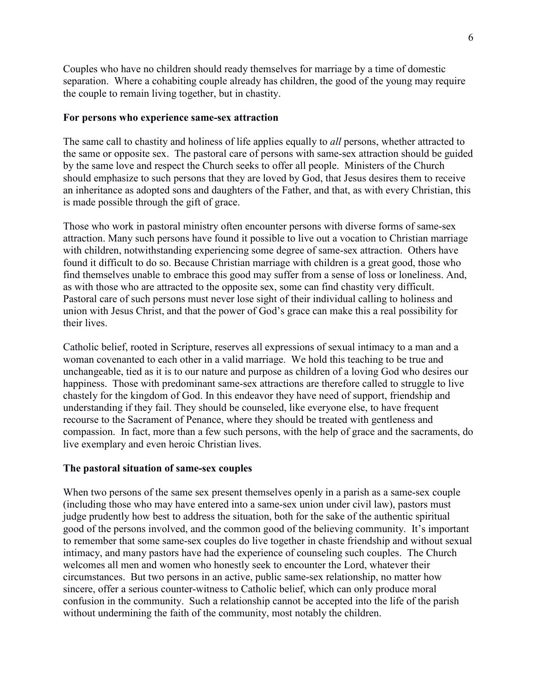Couples who have no children should ready themselves for marriage by a time of domestic separation. Where a cohabiting couple already has children, the good of the young may require the couple to remain living together, but in chastity.

### **For persons who experience same-sex attraction**

The same call to chastity and holiness of life applies equally to *all* persons, whether attracted to the same or opposite sex. The pastoral care of persons with same-sex attraction should be guided by the same love and respect the Church seeks to offer all people. Ministers of the Church should emphasize to such persons that they are loved by God, that Jesus desires them to receive an inheritance as adopted sons and daughters of the Father, and that, as with every Christian, this is made possible through the gift of grace.

Those who work in pastoral ministry often encounter persons with diverse forms of same-sex attraction. Many such persons have found it possible to live out a vocation to Christian marriage with children, notwithstanding experiencing some degree of same-sex attraction. Others have found it difficult to do so. Because Christian marriage with children is a great good, those who find themselves unable to embrace this good may suffer from a sense of loss or loneliness. And, as with those who are attracted to the opposite sex, some can find chastity very difficult. Pastoral care of such persons must never lose sight of their individual calling to holiness and union with Jesus Christ, and that the power of God's grace can make this a real possibility for their lives.

Catholic belief, rooted in Scripture, reserves all expressions of sexual intimacy to a man and a woman covenanted to each other in a valid marriage. We hold this teaching to be true and unchangeable, tied as it is to our nature and purpose as children of a loving God who desires our happiness. Those with predominant same-sex attractions are therefore called to struggle to live chastely for the kingdom of God. In this endeavor they have need of support, friendship and understanding if they fail. They should be counseled, like everyone else, to have frequent recourse to the Sacrament of Penance, where they should be treated with gentleness and compassion. In fact, more than a few such persons, with the help of grace and the sacraments, do live exemplary and even heroic Christian lives.

### **The pastoral situation of same-sex couples**

When two persons of the same sex present themselves openly in a parish as a same-sex couple (including those who may have entered into a same-sex union under civil law), pastors must judge prudently how best to address the situation, both for the sake of the authentic spiritual good of the persons involved, and the common good of the believing community. It's important to remember that some same-sex couples do live together in chaste friendship and without sexual intimacy, and many pastors have had the experience of counseling such couples. The Church welcomes all men and women who honestly seek to encounter the Lord, whatever their circumstances. But two persons in an active, public same-sex relationship, no matter how sincere, offer a serious counter-witness to Catholic belief, which can only produce moral confusion in the community. Such a relationship cannot be accepted into the life of the parish without undermining the faith of the community, most notably the children.